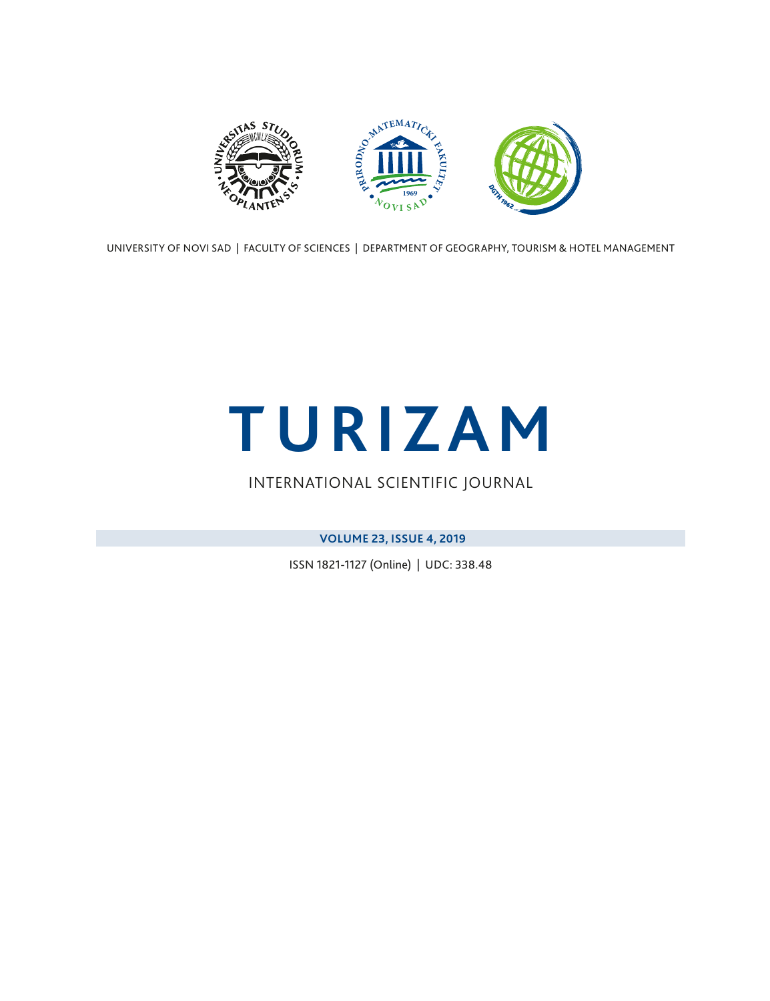<span id="page-0-0"></span>

UNIVERSITY OF NOVI SAD | FACULTY OF SCIENCES | DEPARTMENT OF GEOGRAPHY, TOURISM & HOTEL MANAGEMENT

# **TURIZAM**

### INTERNATIONAL SCIENTIFIC JOURNAL

**VOLUME 23, ISSUE 4, 2019**

ISSN 1821-1127 (Online) | UDC: 338.48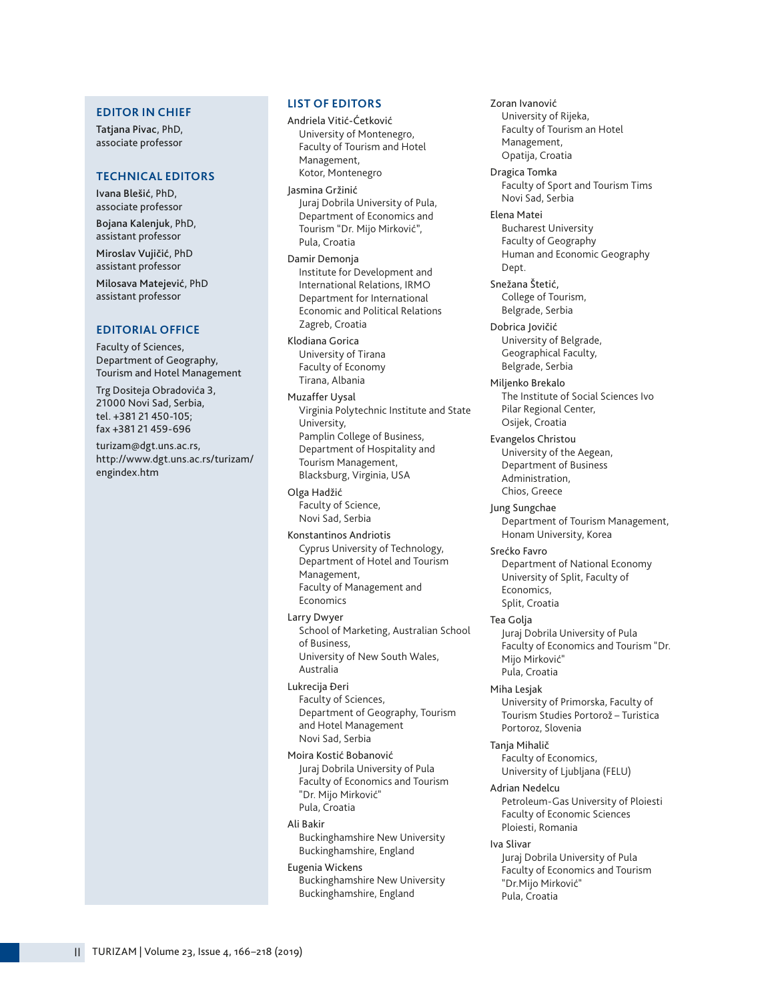#### **EDITOR IN CHIEF**

Tatjana Pivac, PhD, associate professor

#### **TECHNICAL EDITORS**

Ivana Blešić, PhD, associate professor

Bojana Kalenjuk, PhD, assistant professor Miroslav Vujičić, PhD assistant professor

Milosava Matejević, PhD assistant professor

#### **EDITORIAL OFFICE**

Faculty of Sciences, Department of Geography, Tourism and Hotel Management

Trg Dositeja Obradovića 3, 21000 Novi Sad, Serbia, tel. +381 21 450-105; fax +381 21 459-696

turizam@dgt.uns.ac.rs, http://www.dgt.uns.ac.rs/turizam/ engindex.htm

#### **LIST OF EDITORS**

Andriela Vitić-Ćetković University of Montenegro, Faculty of Tourism and Hotel Management, Kotor, Montenegro

Jasmina Gržinić Juraj Dobrila University of Pula, Department of Economics and Tourism "Dr. Mijo Mirković", Pula, Croatia

Damir Demonja Institute for Development and International Relations, IRMO Department for International Economic and Political Relations Zagreb, Croatia

Klodiana Gorica University of Tirana Faculty of Economy Tirana, Albania

Muzaffer Uysal Virginia Polytechnic Institute and State University, Pamplin College of Business, Department of Hospitality and Tourism Management, Blacksburg, Virginia, USA

Olga Hadžić Faculty of Science, Novi Sad, Serbia

Konstantinos Andriotis Cyprus University of Technology, Department of Hotel and Tourism Management, Faculty of Management and Economics

Larry Dwyer School of Marketing, Australian School of Business, University of New South Wales, Australia

Lukrecija Đeri Faculty of Sciences, Department of Geography, Tourism and Hotel Management Novi Sad, Serbia

Moira Kostić Bobanović Juraj Dobrila University of Pula Faculty of Economics and Tourism "Dr. Mijo Mirković" Pula, Croatia

#### Ali Bakir

Buckinghamshire New University Buckinghamshire, England

#### Eugenia Wickens

Buckinghamshire New University Buckinghamshire, England

Zoran Ivanović University of Rijeka, Faculty of Tourism an Hotel Management, Opatija, Croatia

Dragica Tomka Faculty of Sport and Tourism Tims Novi Sad, Serbia

Elena Matei Bucharest University Faculty of Geography Human and Economic Geography Dept.

Snežana Štetić, College of Tourism, Belgrade, Serbia

Dobrica Jovičić University of Belgrade, Geographical Faculty, Belgrade, Serbia

Miljenko Brekalo The Institute of Social Sciences Ivo Pilar Regional Center, Osijek, Croatia

Evangelos Christou University of the Aegean, Department of Business Administration, Chios, Greece

Jung Sungchae Department of Tourism Management, Honam University, Korea

Srećko Favro Department of National Economy University of Split, Faculty of Economics, Split, Croatia

Tea Golja Juraj Dobrila University of Pula Faculty of Economics and Tourism "Dr. Mijo Mirković" Pula, Croatia

Miha Lesjak

University of Primorska, Faculty of Tourism Studies Portorož – Turistica Portoroz, Slovenia

Tanja Mihalič Faculty of Economics, University of Ljubljana (FELU)

Adrian Nedelcu

Petroleum-Gas University of Ploiesti Faculty of Economic Sciences Ploiesti, Romania

Iva Slivar

Juraj Dobrila University of Pula Faculty of Economics and Tourism "Dr.Mijo Mirković" Pula, Croatia